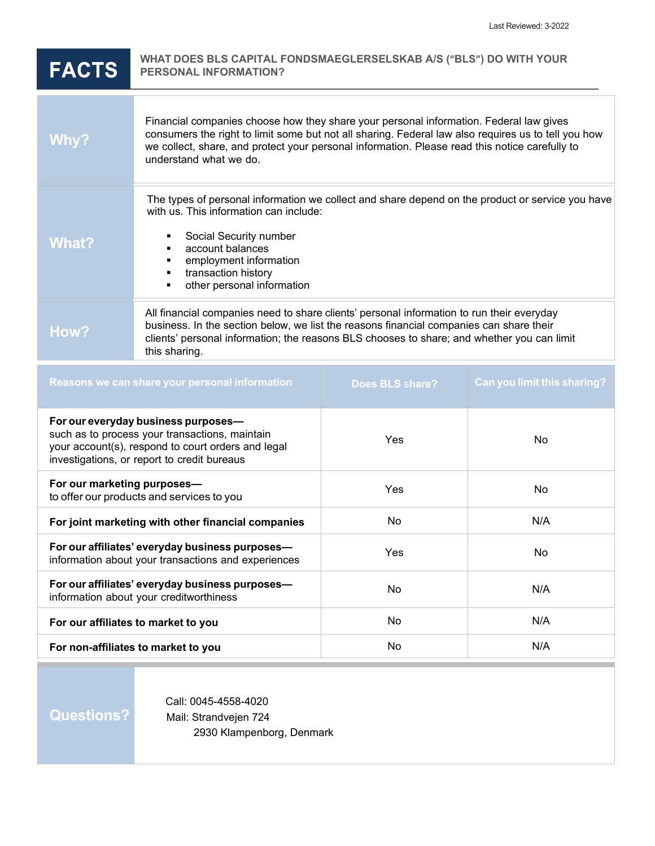| <b>FACTS</b>                                                                                                                                                                               | WHAT DOES BLS CAPITAL FONDSMAEGLERSELSKAB A/S ("BLS") DO WITH YOUR<br><b>PERSONAL INFORMATION?</b>                                                                                                                                                                                                                        |                 |                                    |
|--------------------------------------------------------------------------------------------------------------------------------------------------------------------------------------------|---------------------------------------------------------------------------------------------------------------------------------------------------------------------------------------------------------------------------------------------------------------------------------------------------------------------------|-----------------|------------------------------------|
| Why?                                                                                                                                                                                       | Financial companies choose how they share your personal information. Federal law gives<br>consumers the right to limit some but not all sharing. Federal law also requires us to tell you how<br>we collect, share, and protect your personal information. Please read this notice carefully to<br>understand what we do. |                 |                                    |
| <b>What?</b>                                                                                                                                                                               | The types of personal information we collect and share depend on the product or service you have<br>with us. This information can include:<br>Social Security number<br>account balances<br>employment information<br>transaction history<br>other personal information                                                   |                 |                                    |
| How?                                                                                                                                                                                       | All financial companies need to share clients' personal information to run their everyday<br>business. In the section below, we list the reasons financial companies can share their<br>clients' personal information; the reasons BLS chooses to share; and whether you can limit<br>this sharing.                       |                 |                                    |
| Reasons we can share your personal information                                                                                                                                             |                                                                                                                                                                                                                                                                                                                           | Does BLS share? | <b>Can you limit this sharing?</b> |
| For our everyday business purposes-<br>such as to process your transactions, maintain<br>your account(s), respond to court orders and legal<br>investigations, or report to credit bureaus |                                                                                                                                                                                                                                                                                                                           | Yes             | No                                 |
| For our marketing purposes-<br>to offer our products and services to you                                                                                                                   |                                                                                                                                                                                                                                                                                                                           | Yes             | No                                 |
| For joint marketing with other financial companies                                                                                                                                         |                                                                                                                                                                                                                                                                                                                           | No              | N/A                                |
| For our affiliates' everyday business purposes-<br>information about your transactions and experiences                                                                                     |                                                                                                                                                                                                                                                                                                                           | Yes             | No                                 |
| For our affiliates' everyday business purposes-<br>information about your creditworthiness                                                                                                 |                                                                                                                                                                                                                                                                                                                           | No              | N/A                                |

**For non-affiliates to market to you** No N/A

**Questions?**

Call: 0045-4558-4020 Mail: Strandvejen 724 2930 Klampenborg, Denmark

**For our affiliates to market to you** No N/A